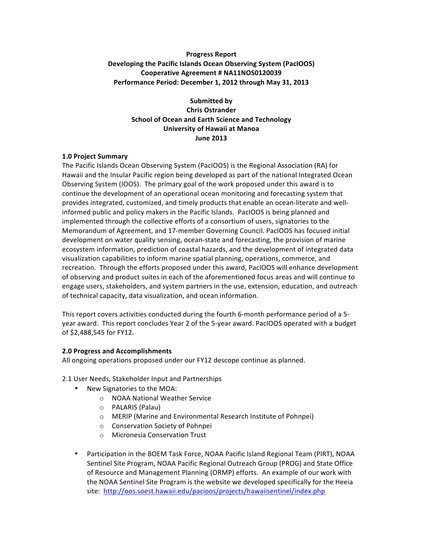# **Progress Report Developing the Pacific Islands Ocean Observing System (PacIOOS) Cooperative Agreement # NA11NOS0120039** Performance Period: December 1, 2012 through May 31, 2013

**Submitted by Chris Ostrander School of Ocean and Earth Science and Technology University of Hawaii at Manoa June 2013**

#### **1.0 Project Summary**

The Pacific Islands Ocean Observing System (PacIOOS) is the Regional Association (RA) for Hawaii and the Insular Pacific region being developed as part of the national Integrated Ocean Observing System (IOOS). The primary goal of the work proposed under this award is to continue the development of an operational ocean monitoring and forecasting system that provides integrated, customized, and timely products that enable an ocean-literate and wellinformed public and policy makers in the Pacific Islands. PacIOOS is being planned and implemented through the collective efforts of a consortium of users, signatories to the Memorandum of Agreement, and 17-member Governing Council. PacIOOS has focused initial development on water quality sensing, ocean-state and forecasting, the provision of marine ecosystem information, prediction of coastal hazards, and the development of integrated data visualization capabilities to inform marine spatial planning, operations, commerce, and recreation. Through the efforts proposed under this award, PacIOOS will enhance development of observing and product suites in each of the aforementioned focus areas and will continue to engage users, stakeholders, and system partners in the use, extension, education, and outreach of technical capacity, data visualization, and ocean information.

This report covers activities conducted during the fourth 6-month performance period of a 5year award. This report concludes Year 2 of the 5-year award. PacIOOS operated with a budget of \$2,488,545 for FY12.

#### **2.0 Progress and Accomplishments**

All ongoing operations proposed under our FY12 descope continue as planned.

2.1 User Needs, Stakeholder Input and Partnerships

- New Signatories to the MOA:
	- o NOAA National Weather Service
	- o PALARIS (Palau)
	- o MERIP (Marine and Environmental Research Institute of Pohnpei)
	- o Conservation Society of Pohnpei
	- $\circ$  Micronesia Conservation Trust
- Participation in the BOEM Task Force, NOAA Pacific Island Regional Team (PIRT), NOAA Sentinel Site Program, NOAA Pacific Regional Outreach Group (PROG) and State Office of Resource and Management Planning (ORMP) efforts. An example of our work with the NOAA Sentinel Site Program is the website we developed specifically for the Heeia site: http://oos.soest.hawaii.edu/pacioos/projects/hawaiisentinel/index.php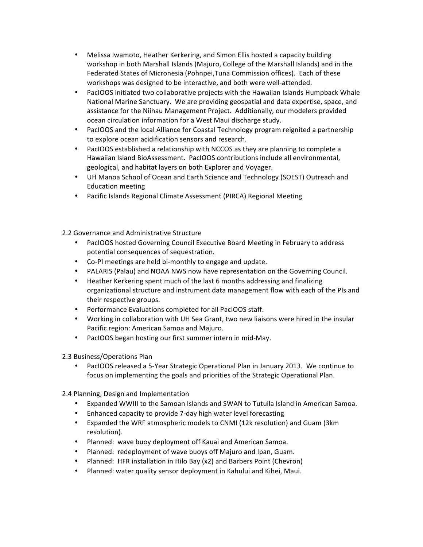- Melissa Iwamoto, Heather Kerkering, and Simon Ellis hosted a capacity building workshop in both Marshall Islands (Majuro, College of the Marshall Islands) and in the Federated States of Micronesia (Pohnpei, Tuna Commission offices). Each of these workshops was designed to be interactive, and both were well-attended.
- PacIOOS initiated two collaborative projects with the Hawaiian Islands Humpback Whale National Marine Sanctuary. We are providing geospatial and data expertise, space, and assistance for the Niihau Management Project. Additionally, our modelers provided ocean circulation information for a West Maui discharge study.
- PacIOOS and the local Alliance for Coastal Technology program reignited a partnership to explore ocean acidification sensors and research.
- PacIOOS established a relationship with NCCOS as they are planning to complete a Hawaiian Island BioAssessment. PacIOOS contributions include all environmental, geological, and habitat layers on both Explorer and Voyager.
- UH Manoa School of Ocean and Earth Science and Technology (SOEST) Outreach and Education meeting
- Pacific Islands Regional Climate Assessment (PIRCA) Regional Meeting

2.2 Governance and Administrative Structure

- PacIOOS hosted Governing Council Executive Board Meeting in February to address potential consequences of sequestration.
- Co-PI meetings are held bi-monthly to engage and update.
- PALARIS (Palau) and NOAA NWS now have representation on the Governing Council.
- Heather Kerkering spent much of the last 6 months addressing and finalizing organizational structure and instrument data management flow with each of the PIs and their respective groups.
- Performance Evaluations completed for all PacIOOS staff.
- Working in collaboration with UH Sea Grant, two new liaisons were hired in the insular Pacific region: American Samoa and Majuro.
- PacIOOS began hosting our first summer intern in mid-May.
- 2.3 Business/Operations Plan
	- PacIOOS released a 5-Year Strategic Operational Plan in January 2013. We continue to focus on implementing the goals and priorities of the Strategic Operational Plan.

2.4 Planning, Design and Implementation

- Expanded WWIII to the Samoan Islands and SWAN to Tutuila Island in American Samoa.
- Enhanced capacity to provide 7-day high water level forecasting
- Expanded the WRF atmospheric models to CNMI (12k resolution) and Guam (3km resolution).
- Planned: wave buoy deployment off Kauai and American Samoa.
- Planned: redeployment of wave buoys off Majuro and Ipan, Guam.
- Planned: HFR installation in Hilo Bay (x2) and Barbers Point (Chevron)
- Planned: water quality sensor deployment in Kahului and Kihei, Maui.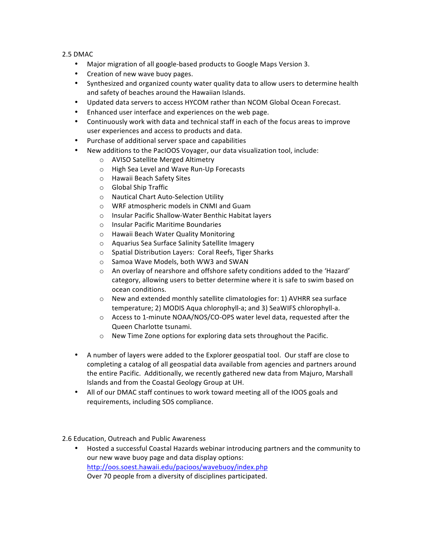2.5 DMAC

- Major migration of all google-based products to Google Maps Version 3.
- Creation of new wave buoy pages.
- Synthesized and organized county water quality data to allow users to determine health and safety of beaches around the Hawaiian Islands.
- Updated data servers to access HYCOM rather than NCOM Global Ocean Forecast.
- Enhanced user interface and experiences on the web page.
- Continuously work with data and technical staff in each of the focus areas to improve user experiences and access to products and data.
- Purchase of additional server space and capabilities
- New additions to the PacIOOS Voyager, our data visualization tool, include:
	- o AVISO Satellite Merged Altimetry
	- o High Sea Level and Wave Run-Up Forecasts
	- o Hawaii Beach Safety Sites
	- $\circ$  Global Ship Traffic
	- o Nautical Chart Auto-Selection Utility
	- o WRF atmospheric models in CNMI and Guam
	- o Insular Pacific Shallow-Water Benthic Habitat layers
	- o Insular Pacific Maritime Boundaries
	- o Hawaii Beach Water Quality Monitoring
	- o Aquarius Sea Surface Salinity Satellite Imagery
	- $\circ$  Spatial Distribution Layers: Coral Reefs, Tiger Sharks
	- o Samoa Wave Models, both WW3 and SWAN
	- $\circ$  An overlay of nearshore and offshore safety conditions added to the 'Hazard' category, allowing users to better determine where it is safe to swim based on ocean conditions.
	- $\circ$  New and extended monthly satellite climatologies for: 1) AVHRR sea surface temperature; 2) MODIS Aqua chlorophyll-a; and 3) SeaWIFS chlorophyll-a.
	- $\circ$  Access to 1-minute NOAA/NOS/CO-OPS water level data, requested after the Queen Charlotte tsunami.
	- $\circ$  New Time Zone options for exploring data sets throughout the Pacific.
- A number of layers were added to the Explorer geospatial tool. Our staff are close to completing a catalog of all geospatial data available from agencies and partners around the entire Pacific. Additionally, we recently gathered new data from Majuro, Marshall Islands and from the Coastal Geology Group at UH.
- All of our DMAC staff continues to work toward meeting all of the IOOS goals and requirements, including SOS compliance.

2.6 Education, Outreach and Public Awareness

Hosted a successful Coastal Hazards webinar introducing partners and the community to our new wave buoy page and data display options: http://oos.soest.hawaii.edu/pacioos/wavebuoy/index.php Over 70 people from a diversity of disciplines participated.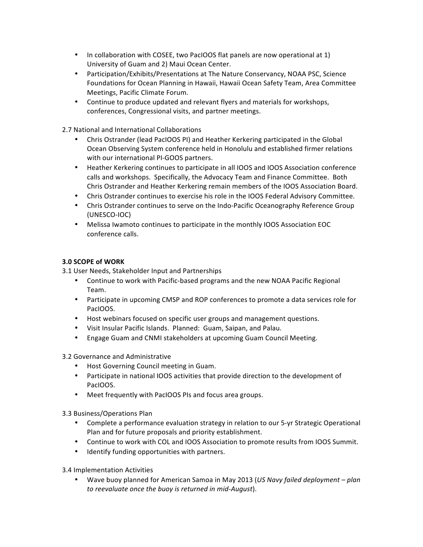- In collaboration with COSEE, two PacIOOS flat panels are now operational at 1) University of Guam and 2) Maui Ocean Center.
- Participation/Exhibits/Presentations at The Nature Conservancy, NOAA PSC, Science Foundations for Ocean Planning in Hawaii, Hawaii Ocean Safety Team, Area Committee Meetings, Pacific Climate Forum.
- Continue to produce updated and relevant flyers and materials for workshops, conferences, Congressional visits, and partner meetings.

2.7 National and International Collaborations

- Chris Ostrander (lead PacIOOS PI) and Heather Kerkering participated in the Global Ocean Observing System conference held in Honolulu and established firmer relations with our international PI-GOOS partners.
- Heather Kerkering continues to participate in all IOOS and IOOS Association conference calls and workshops. Specifically, the Advocacy Team and Finance Committee. Both Chris Ostrander and Heather Kerkering remain members of the IOOS Association Board.
- Chris Ostrander continues to exercise his role in the IOOS Federal Advisory Committee.
- Chris Ostrander continues to serve on the Indo-Pacific Oceanography Reference Group (UNESCO-IOC)
- Melissa Iwamoto continues to participate in the monthly IOOS Association EOC conference calls.

### **3.0 SCOPE of WORK**

- 3.1 User Needs, Stakeholder Input and Partnerships
	- Continue to work with Pacific-based programs and the new NOAA Pacific Regional Team.
	- Participate in upcoming CMSP and ROP conferences to promote a data services role for PacIOOS.
	- Host webinars focused on specific user groups and management questions.
	- Visit Insular Pacific Islands. Planned: Guam, Saipan, and Palau.
	- Engage Guam and CNMI stakeholders at upcoming Guam Council Meeting.
- 3.2 Governance and Administrative
	- Host Governing Council meeting in Guam.
	- Participate in national IOOS activities that provide direction to the development of PacIOOS.
	- Meet frequently with PacIOOS PIs and focus area groups.
- 3.3 Business/Operations Plan
	- Complete a performance evaluation strategy in relation to our 5-yr Strategic Operational Plan and for future proposals and priority establishment.
	- Continue to work with COL and IOOS Association to promote results from IOOS Summit.
	- Identify funding opportunities with partners.
- 3.4 Implementation Activities
	- Wave buoy planned for American Samoa in May 2013 (*US Navy failed deployment plan to reevaluate once the buoy is returned in mid-August*).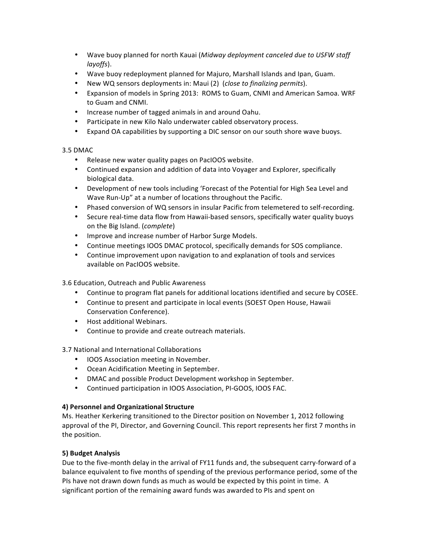- Wave buoy planned for north Kauai (*Midway deployment canceled due to USFW staff layoffs*).
- Wave buoy redeployment planned for Majuro, Marshall Islands and Ipan, Guam.
- New WQ sensors deployments in: Maui (2) (*close to finalizing permits*).
- Expansion of models in Spring 2013: ROMS to Guam, CNMI and American Samoa. WRF to Guam and CNMI.
- Increase number of tagged animals in and around Oahu.
- Participate in new Kilo Nalo underwater cabled observatory process.
- Expand OA capabilities by supporting a DIC sensor on our south shore wave buoys.

# 3.5 DMAC

- Release new water quality pages on PacIOOS website.
- Continued expansion and addition of data into Voyager and Explorer, specifically biological data.
- Development of new tools including 'Forecast of the Potential for High Sea Level and Wave Run-Up" at a number of locations throughout the Pacific.
- Phased conversion of WQ sensors in insular Pacific from telemetered to self-recording.
- Secure real-time data flow from Hawaii-based sensors, specifically water quality buoys on the Big Island. (*complete*)
- Improve and increase number of Harbor Surge Models.
- Continue meetings IOOS DMAC protocol, specifically demands for SOS compliance.
- Continue improvement upon navigation to and explanation of tools and services available on PacIOOS website.

3.6 Education, Outreach and Public Awareness

- Continue to program flat panels for additional locations identified and secure by COSEE.
- Continue to present and participate in local events (SOEST Open House, Hawaii Conservation Conference).
- Host additional Webinars.
- Continue to provide and create outreach materials.

3.7 National and International Collaborations

- IOOS Association meeting in November.
- Ocean Acidification Meeting in September.
- DMAC and possible Product Development workshop in September.
- Continued participation in IOOS Association, PI-GOOS, IOOS FAC.

# **4) Personnel and Organizational Structure**

Ms. Heather Kerkering transitioned to the Director position on November 1, 2012 following approval of the PI, Director, and Governing Council. This report represents her first 7 months in the position.

# **5) Budget Analysis**

Due to the five-month delay in the arrival of FY11 funds and, the subsequent carry-forward of a balance equivalent to five months of spending of the previous performance period, some of the PIs have not drawn down funds as much as would be expected by this point in time. A significant portion of the remaining award funds was awarded to PIs and spent on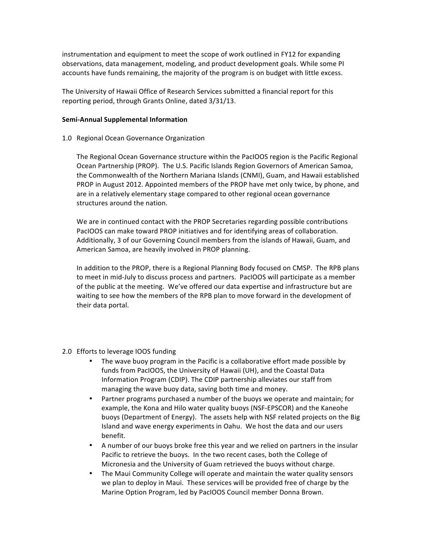instrumentation and equipment to meet the scope of work outlined in FY12 for expanding observations, data management, modeling, and product development goals. While some PI accounts have funds remaining, the majority of the program is on budget with little excess.

The University of Hawaii Office of Research Services submitted a financial report for this reporting period, through Grants Online, dated 3/31/13.

#### **Semi-Annual Supplemental Information**

1.0 Regional Ocean Governance Organization

The Regional Ocean Governance structure within the PacIOOS region is the Pacific Regional Ocean Partnership (PROP). The U.S. Pacific Islands Region Governors of American Samoa, the Commonwealth of the Northern Mariana Islands (CNMI), Guam, and Hawaii established PROP in August 2012. Appointed members of the PROP have met only twice, by phone, and are in a relatively elementary stage compared to other regional ocean governance structures around the nation.

We are in continued contact with the PROP Secretaries regarding possible contributions PacIOOS can make toward PROP initiatives and for identifying areas of collaboration. Additionally, 3 of our Governing Council members from the islands of Hawaii, Guam, and American Samoa, are heavily involved in PROP planning.

In addition to the PROP, there is a Regional Planning Body focused on CMSP. The RPB plans to meet in mid-July to discuss process and partners. PacIOOS will participate as a member of the public at the meeting. We've offered our data expertise and infrastructure but are waiting to see how the members of the RPB plan to move forward in the development of their data portal.

- 2.0 Efforts to leverage IOOS funding
	- The wave buoy program in the Pacific is a collaborative effort made possible by funds from PacIOOS, the University of Hawaii (UH), and the Coastal Data Information Program (CDIP). The CDIP partnership alleviates our staff from managing the wave buoy data, saving both time and money.
	- Partner programs purchased a number of the buoys we operate and maintain; for example, the Kona and Hilo water quality buoys (NSF-EPSCOR) and the Kaneohe buoys (Department of Energy). The assets help with NSF related projects on the Big Island and wave energy experiments in Oahu. We host the data and our users benefit.
	- A number of our buoys broke free this year and we relied on partners in the insular Pacific to retrieve the buoys. In the two recent cases, both the College of Micronesia and the University of Guam retrieved the buoys without charge.
	- The Maui Community College will operate and maintain the water quality sensors we plan to deploy in Maui. These services will be provided free of charge by the Marine Option Program, led by PacIOOS Council member Donna Brown.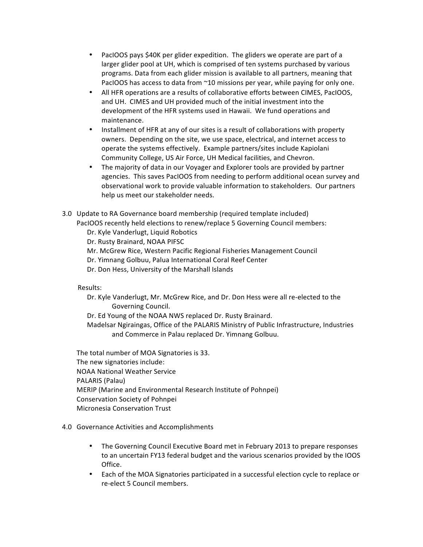- PacIOOS pays \$40K per glider expedition. The gliders we operate are part of a larger glider pool at UH, which is comprised of ten systems purchased by various programs. Data from each glider mission is available to all partners, meaning that PacIOOS has access to data from  $\sim$ 10 missions per year, while paying for only one.
- All HFR operations are a results of collaborative efforts between CIMES, PacIOOS, and UH. CIMES and UH provided much of the initial investment into the development of the HFR systems used in Hawaii. We fund operations and maintenance.
- Installment of HFR at any of our sites is a result of collaborations with property owners. Depending on the site, we use space, electrical, and internet access to operate the systems effectively. Example partners/sites include Kapiolani Community College, US Air Force, UH Medical facilities, and Chevron.
- The majority of data in our Voyager and Explorer tools are provided by partner agencies. This saves PacIOOS from needing to perform additional ocean survey and observational work to provide valuable information to stakeholders. Our partners help us meet our stakeholder needs.
- 3.0 Update to RA Governance board membership (required template included) PacIOOS recently held elections to renew/replace 5 Governing Council members: Dr. Kyle Vanderlugt, Liquid Robotics
	- Dr. Rusty Brainard, NOAA PIFSC
	- Mr. McGrew Rice, Western Pacific Regional Fisheries Management Council
	- Dr. Yimnang Golbuu, Palua International Coral Reef Center
	- Dr. Don Hess, University of the Marshall Islands

Results: 

- Dr. Kyle Vanderlugt, Mr. McGrew Rice, and Dr. Don Hess were all re-elected to the Governing Council.
- Dr. Ed Young of the NOAA NWS replaced Dr. Rusty Brainard.
- Madelsar Ngiraingas, Office of the PALARIS Ministry of Public Infrastructure, Industries and Commerce in Palau replaced Dr. Yimnang Golbuu.

The total number of MOA Signatories is 33. The new signatories include: NOAA National Weather Service PALARIS (Palau) MERIP (Marine and Environmental Research Institute of Pohnpei) Conservation Society of Pohnpei Micronesia Conservation Trust 

### 4.0 Governance Activities and Accomplishments

- The Governing Council Executive Board met in February 2013 to prepare responses to an uncertain FY13 federal budget and the various scenarios provided by the IOOS Office.
- Each of the MOA Signatories participated in a successful election cycle to replace or re-elect 5 Council members.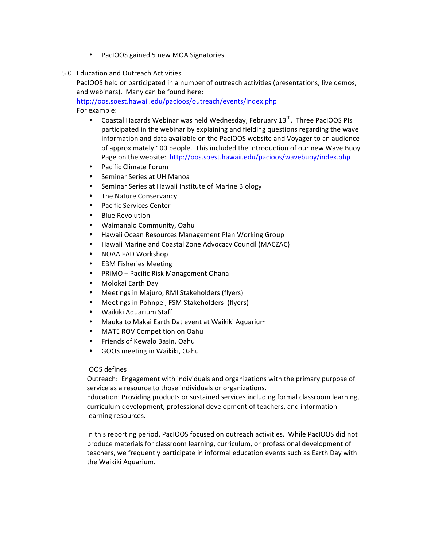- PacIOOS gained 5 new MOA Signatories.
- 5.0 Education and Outreach Activities

PacIOOS held or participated in a number of outreach activities (presentations, live demos, and webinars). Many can be found here:

http://oos.soest.hawaii.edu/pacioos/outreach/events/index.php

For example:

- Coastal Hazards Webinar was held Wednesday, February  $13<sup>th</sup>$ . Three PacIOOS PIs participated in the webinar by explaining and fielding questions regarding the wave information and data available on the PacIOOS website and Voyager to an audience of approximately 100 people. This included the introduction of our new Wave Buoy Page on the website: http://oos.soest.hawaii.edu/pacioos/wavebuoy/index.php
- Pacific Climate Forum
- Seminar Series at UH Manoa
- Seminar Series at Hawaii Institute of Marine Biology
- The Nature Conservancy
- Pacific Services Center
- **Blue Revolution**
- Waimanalo Community, Oahu
- Hawaii Ocean Resources Management Plan Working Group
- Hawaii Marine and Coastal Zone Advocacy Council (MACZAC)
- NOAA FAD Workshop
- EBM Fisheries Meeting
- PRIMO Pacific Risk Management Ohana
- Molokai Earth Day
- Meetings in Majuro, RMI Stakeholders (flyers)
- Meetings in Pohnpei, FSM Stakeholders (flyers)
- Waikiki Aquarium Staff
- Mauka to Makai Earth Dat event at Waikiki Aquarium
- **MATE ROV Competition on Oahu**
- Friends of Kewalo Basin, Oahu
- GOOS meeting in Waikiki, Oahu

### IOOS defines

Outreach: Engagement with individuals and organizations with the primary purpose of service as a resource to those individuals or organizations.

Education: Providing products or sustained services including formal classroom learning, curriculum development, professional development of teachers, and information learning resources.

In this reporting period, PacIOOS focused on outreach activities. While PacIOOS did not produce materials for classroom learning, curriculum, or professional development of teachers, we frequently participate in informal education events such as Earth Day with the Waikiki Aquarium.